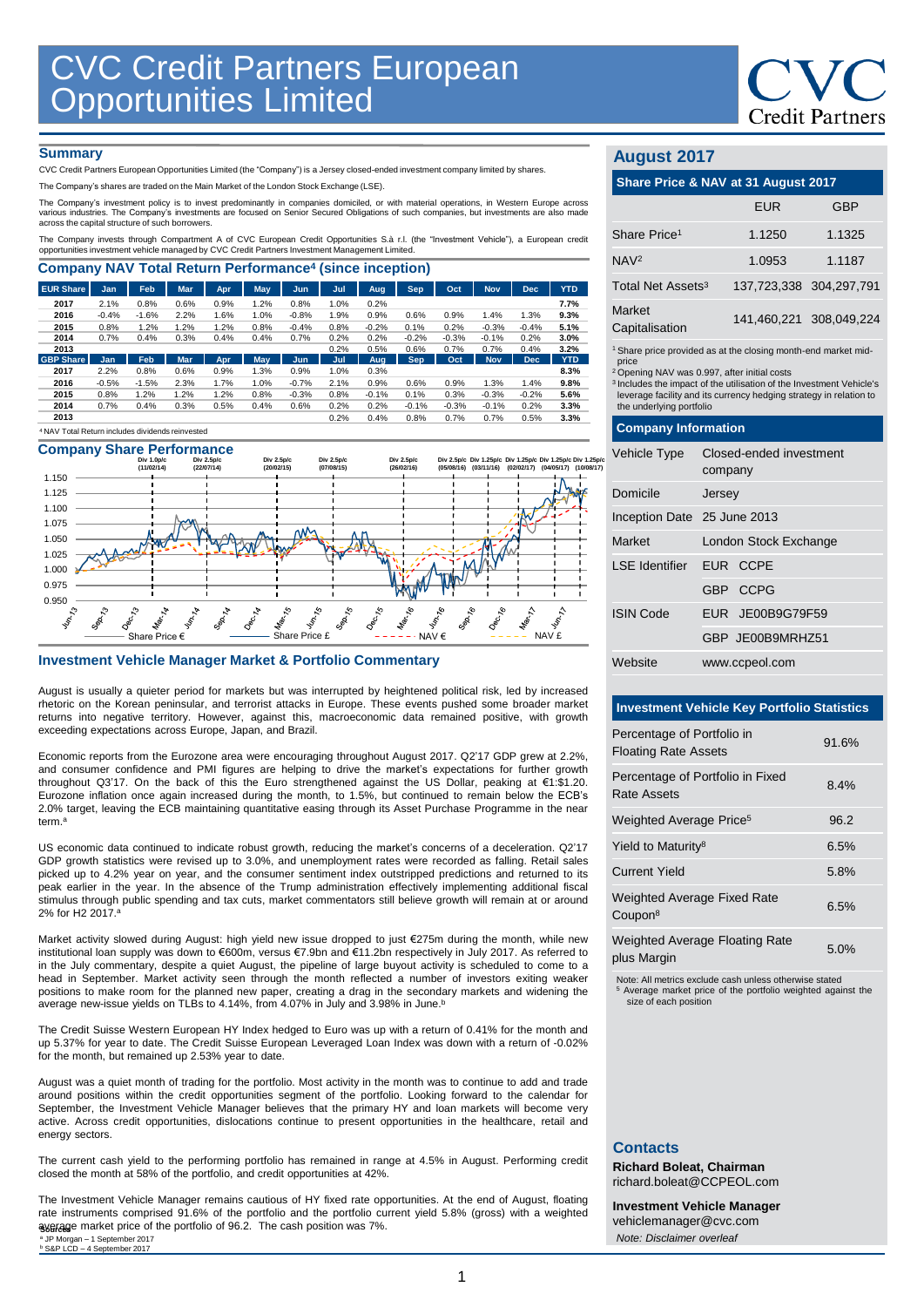

### **Summary**

CVC Credit Partners European Opportunities Limited (the "Company") is a Jersey closed-ended investment company limited by shares.

The Company's shares are traded on the Main Market of the London Stock Exchange (LSE).

The Company's investment policy is to invest predominantly in companies domiciled, or with material operations, in Western Europe across<br>various industries. The Company's investments are focused on Senior Secured Obligatio

The Company invests through Compartment A of CVC European Credit Opportunities S.à r.l. (the "Investment Vehicle"), a European credit opportunities investment vehicle managed by CVC Credit Partners Investment Management Limited.

| <b>Company NAV Total Return Performance<sup>4</sup> (since inception)</b> |                                                             |            |            |      |      |         |      |         |            |         |            |            |            |
|---------------------------------------------------------------------------|-------------------------------------------------------------|------------|------------|------|------|---------|------|---------|------------|---------|------------|------------|------------|
| <b>EUR Share</b>                                                          | Jan                                                         | <b>Feb</b> | <b>Mar</b> | Apr  | May  | Jun     | Jul  | Aug.    | <b>Sep</b> | Oct     | <b>Nov</b> | <b>Dec</b> | <b>YTD</b> |
| 2017                                                                      | 2.1%                                                        | 0.8%       | 0.6%       | 0.9% | 1.2% | 0.8%    | 1.0% | 0.2%    |            |         |            |            | 7.7%       |
| 2016                                                                      | $-0.4%$                                                     | $-1.6%$    | 2.2%       | 1.6% | 1.0% | $-0.8%$ | 1.9% | 0.9%    | 0.6%       | 0.9%    | 1.4%       | 1.3%       | 9.3%       |
| 2015                                                                      | 0.8%                                                        | 1.2%       | 1.2%       | 1.2% | 0.8% | $-0.4%$ | 0.8% | $-0.2%$ | 0.1%       | 0.2%    | $-0.3%$    | $-0.4%$    | 5.1%       |
| 2014                                                                      | 0.7%                                                        | 0.4%       | 0.3%       | 0.4% | 0.4% | 0.7%    | 0.2% | 0.2%    | $-0.2%$    | $-0.3%$ | $-0.1%$    | 0.2%       | 3.0%       |
| 2013                                                                      |                                                             |            |            |      |      |         | 0.2% | 0.5%    | 0.6%       | 0.7%    | 0.7%       | 0.4%       | 3.2%       |
| <b>GBP Share</b>                                                          | <b>Jan</b>                                                  | Feb        | <b>Mar</b> | Apr  | May. | Jun     | Jul  | Aug     | <b>Sep</b> | Oct     | <b>Nov</b> | <b>Dec</b> | <b>YTD</b> |
| 2017                                                                      | 2.2%                                                        | 0.8%       | 0.6%       | 0.9% | 1.3% | 0.9%    | 1.0% | 0.3%    |            |         |            |            | 8.3%       |
| 2016                                                                      | $-0.5%$                                                     | $-1.5%$    | 2.3%       | 1.7% | 1.0% | $-0.7%$ | 2.1% | 0.9%    | 0.6%       | 0.9%    | 1.3%       | 1.4%       | 9.8%       |
| 2015                                                                      | 0.8%                                                        | 1.2%       | 1.2%       | 1.2% | 0.8% | $-0.3%$ | 0.8% | $-0.1%$ | 0.1%       | 0.3%    | $-0.3%$    | $-0.2%$    | 5.6%       |
| 2014                                                                      | 0.7%                                                        | 0.4%       | 0.3%       | 0.5% | 0.4% | 0.6%    | 0.2% | 0.2%    | $-0.1%$    | $-0.3%$ | $-0.1%$    | 0.2%       | 3.3%       |
| 2013                                                                      |                                                             |            |            |      |      |         | 0.2% | 0.4%    | 0.8%       | 0.7%    | 0.7%       | 0.5%       | 3.3%       |
|                                                                           | <sup>4</sup> NAV Total Return includes dividends reinvested |            |            |      |      |         |      |         |            |         |            |            |            |



### **Investment Vehicle Manager Market & Portfolio Commentary**

August is usually a quieter period for markets but was interrupted by heightened political risk, led by increased rhetoric on the Korean peninsular, and terrorist attacks in Europe. These events pushed some broader market returns into negative territory. However, against this, macroeconomic data remained positive, with growth exceeding expectations across Europe, Japan, and Brazil.

Economic reports from the Eurozone area were encouraging throughout August 2017. Q2'17 GDP grew at 2.2%, and consumer confidence and PMI figures are helping to drive the market's expectations for further growth throughout Q3'17. On the back of this the Euro strengthened against the US Dollar, peaking at €1:\$1.20. Eurozone inflation once again increased during the month, to 1.5%, but continued to remain below the ECB's 2.0% target, leaving the ECB maintaining quantitative easing through its Asset Purchase Programme in the near term. a

US economic data continued to indicate robust growth, reducing the market's concerns of a deceleration. Q2'17 GDP growth statistics were revised up to 3.0%, and unemployment rates were recorded as falling. Retail sales picked up to 4.2% year on year, and the consumer sentiment index outstripped predictions and returned to its peak earlier in the year. In the absence of the Trump administration effectively implementing additional fiscal stimulus through public spending and tax cuts, market commentators still believe growth will remain at or around 2% for H2 2017. a

Market activity slowed during August: high yield new issue dropped to just €275m during the month, while new institutional loan supply was down to €600m, versus €7.9bn and €11.2bn respectively in July 2017. As referred to in the July commentary, despite a quiet August, the pipeline of large buyout activity is scheduled to come to a head in September. Market activity seen through the month reflected a number of investors exiting weaker positions to make room for the planned new paper, creating a drag in the secondary markets and widening the average new-issue yields on TLBs to 4.14%, from 4.07% in July and 3.98% in June. b

The Credit Suisse Western European HY Index hedged to Euro was up with a return of 0.41% for the month and up 5.37% for year to date. The Credit Suisse European Leveraged Loan Index was down with a return of -0.02% for the month, but remained up 2.53% year to date.

August was a quiet month of trading for the portfolio. Most activity in the month was to continue to add and trade around positions within the credit opportunities segment of the portfolio. Looking forward to the calendar for September, the Investment Vehicle Manager believes that the primary HY and loan markets will become very active. Across credit opportunities, dislocations continue to present opportunities in the healthcare, retail and energy sectors.

The current cash yield to the performing portfolio has remained in range at 4.5% in August. Performing credit closed the month at 58% of the portfolio, and credit opportunities at 42%.

The Investment Vehicle Manager remains cautious of HY fixed rate opportunities. At the end of August, floating rate instruments comprised 91.6% of the portfolio and the portfolio current yield 5.8% (gross) with a weighted average market price of the portfolio of 96.2. The cash position was 7%. **Sources** <sup>a</sup> JP Morgan – 1 September 2017<br><sup>b</sup> S&P LCD – 4 September 2017

## **August 2017**

| Share Price & NAV at 31 August 2017                                       |                         |                         |  |  |  |
|---------------------------------------------------------------------------|-------------------------|-------------------------|--|--|--|
|                                                                           | <b>EUR</b>              | GBP                     |  |  |  |
| Share Price <sup>1</sup>                                                  | 1.1250                  | 1.1325                  |  |  |  |
| NAV <sup>2</sup>                                                          | 1.0953                  | 1.1187                  |  |  |  |
| Total Net Assets <sup>3</sup>                                             | 137.723.338 304.297.791 |                         |  |  |  |
| Market<br>Capitalisation                                                  |                         | 141,460,221 308,049,224 |  |  |  |
| <sup>1</sup> Share price provided as at the closing month-end market mid- |                         |                         |  |  |  |

price

<sup>2</sup> Opening NAV was 0.997, after initial costs

<sup>3</sup>Includes the impact of the utilisation of the Investment Vehicle's leverage facility and its currency hedging strategy in relation to the underlying portfolio

### **Company Information**

| Vehicle Type                | Closed-ended investment<br>company |  |  |  |
|-----------------------------|------------------------------------|--|--|--|
| Domicile                    | Jersey                             |  |  |  |
| Inception Date 25 June 2013 |                                    |  |  |  |
| Market                      | London Stock Exchange              |  |  |  |
| LSE Identifier EUR CCPE     |                                    |  |  |  |
|                             | GBP CCPG                           |  |  |  |
| <b>ISIN Code</b>            | EUR JE00B9G79F59                   |  |  |  |
|                             | GBP JE00B9MRHZ51                   |  |  |  |
| Website                     | www.ccpeol.com                     |  |  |  |

### **Investment Vehicle Key Portfolio Statistics**

| Percentage of Portfolio in<br><b>Floating Rate Assets</b> | 91.6% |
|-----------------------------------------------------------|-------|
| Percentage of Portfolio in Fixed<br>Rate Assets           | 8.4%  |
| Weighted Average Price <sup>5</sup>                       | 96.2  |
| Yield to Maturity <sup>8</sup>                            | 6.5%  |
| <b>Current Yield</b>                                      | 5.8%  |
| <b>Weighted Average Fixed Rate</b><br>Coupon <sup>8</sup> | 6.5%  |
| <b>Weighted Average Floating Rate</b><br>plus Margin      | 5.0%  |

Note: All metrics exclude cash unless otherwise stated Average market price of the portfolio weighted against the size of each position

### **Contacts**

**Richard Boleat, Chairman**  richard.boleat@CCPEOL.com

**Investment Vehicle Manager** vehiclemanager@cvc.com *Note: Disclaimer overleaf*